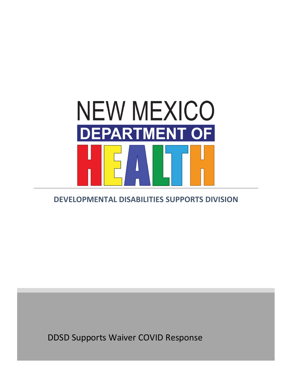

# **DEVELOPMENTAL DISABILITIES SUPPORTS DIVISION**

DDSD Supports Waiver COVID Response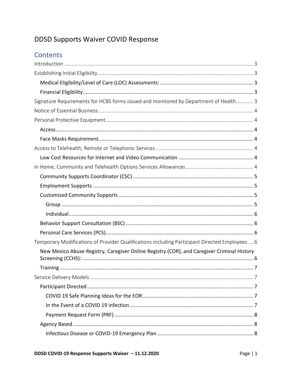# DDSD Supports Waiver COVID Response

# Contents

| Signature Requirements for HCBS forms issued and monitored by Department of Health 3          |
|-----------------------------------------------------------------------------------------------|
|                                                                                               |
|                                                                                               |
|                                                                                               |
|                                                                                               |
|                                                                                               |
|                                                                                               |
|                                                                                               |
|                                                                                               |
|                                                                                               |
|                                                                                               |
|                                                                                               |
|                                                                                               |
|                                                                                               |
|                                                                                               |
| Temporary Modifications of Provider Qualifications including Participant Directed Employees 6 |
| New Mexico Abuse Registry, Caregiver Online Registry (COR), and Caregiver Criminal History    |
|                                                                                               |
|                                                                                               |
|                                                                                               |
|                                                                                               |
|                                                                                               |
|                                                                                               |
|                                                                                               |
|                                                                                               |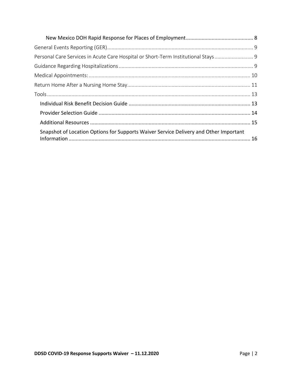| Personal Care Services in Acute Care Hospital or Short-Term Institutional Stays 9     |  |
|---------------------------------------------------------------------------------------|--|
|                                                                                       |  |
|                                                                                       |  |
|                                                                                       |  |
|                                                                                       |  |
|                                                                                       |  |
|                                                                                       |  |
|                                                                                       |  |
| Snapshot of Location Options for Supports Waiver Service Delivery and Other Important |  |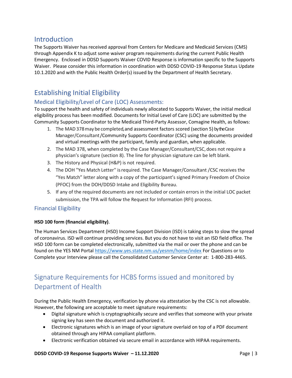## <span id="page-3-0"></span>Introduction

The Supports Waiver has received approval from Centers for Medicare and Medicaid Services (CMS) through Appendix K to adjust some waiver program requirements during the current Public Health Emergency. Enclosed in DDSD Supports Waiver COVID Response is information specific to the Supports Waiver. Please consider this information in coordination with DDSD COVID-19 Response Status Update 10.1.2020 and with the Public Health Order(s) issued by the Department of Health Secretary.

## <span id="page-3-1"></span>Establishing Initial Eligibility

### <span id="page-3-2"></span>Medical Eligibility/Level of Care (LOC) Assessments:

To support the health and safety of individuals newly allocated to Supports Waiver, the initial medical eligibility process has been modified. Documents for Initial Level of Care (LOC) are submitted by the Community Supports Coordinator to the Medicaid Third-Party Assessor, Comagine Health, as follows:

- 1. The MAD378may becompleted, and assessment factors scored (section 5) by theCase Manager/Consultant/Community Supports Coordinator (CSC) using the documents provided and virtual meetings with the participant, family and guardian, when applicable.
- 2. The MAD 378, when completed by the Case Manager/Consultant/CSC, does not require a physician's signature (section 8). The line for physician signature can be left blank.
- 3. The History and Physical (H&P) is not required.
- 4. The DOH "Yes Match Letter'' isrequired. The Case Manager/Consultant /CSC receives the "Yes Match" letter along with a copy of the participant's signed Primary Freedom of Choice (PFOC) from the DOH/DDSD Intake and Eligibility Bureau.
- 5. If any of the required documents are not included or contain errors in the initial LOC packet submission, the TPA will follow the Request for Information (RFI) process.

### <span id="page-3-3"></span>Financial Eligibility

#### **HSD 100 form (financial eligibility)**.

The Human Services Department (HSD) Income Support Division (ISD) is taking steps to slow the spread of coronavirus. ISD will continue providing services. But you do not have to visit an ISD field office. The HSD 100 form can be completed electronically, submitted via the mail or over the phone and can be found on the YES NM Portal<https://www.yes.state.nm.us/yesnm/home/index> For Questions or to Complete your Interview please call the Consolidated Customer Service Center at: 1-800-283-4465.

# <span id="page-3-4"></span>Signature Requirements for HCBS forms issued and monitored by Department of Health

During the Public Health Emergency, verification by phone via attestation by the CSC is not allowable. However, **t**he following are acceptable to meet signature requirements:

- Digital signature which is cryptographically secure and verifies that someone with your private signing key has seen the document and authorized it.
- Electronic signatures which is an image of your signature overlaid on top of a PDF document obtained through any HIPAA compliant platform.
- Electronic verification obtained via secure email in accordance with HIPAA requirements.

#### **DDSD COVID-19 Response Supports Waiver – 11.12.2020** Page | 3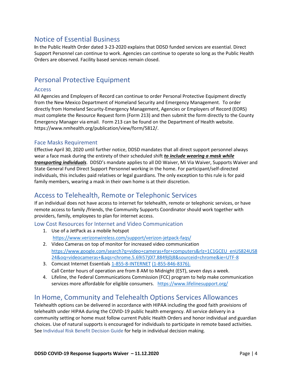## <span id="page-4-0"></span>Notice of Essential Business

**I**n the Public Health Order dated 3-23-2020 explains that DDSD funded services are essential. Direct Support Personnel can continue to work. Agencies can continue to operate so long as the Public Health Orders are observed. Facility based services remain closed.

## <span id="page-4-1"></span>Personal Protective Equipment

#### <span id="page-4-2"></span>Access

All Agencies and Employers of Record can continue to order Personal Protective Equipment directly from the New Mexico Department of Homeland Security and Emergency Management. To order directly from Homeland Security-Emergency Management, Agencies or Employers of Record (EORS) must complete the Resource Request form (Form 213) and then submit the form directly to the County Emergency Manager via email. Form 213 can be found on the Department of Health website. https://www.nmhealth.org/publication/view/form/5812/.

#### <span id="page-4-3"></span>Face Masks Requirement

Effective April 30, 2020 until further notice, DDSD mandates that all direct support personnel always wear a face mask during the entirety of their scheduled shift *to include wearing a mask while transporting individuals*. DDSD's mandate applies to all DD Waiver, Mi Via Waiver, Supports Waiver and State General Fund Direct Support Personnel working in the home. For participant/self-directed individuals, this includes paid relatives or legal guardians. The only exception to this rule is for paid family members, wearing a mask in their own home is at their discretion.

## <span id="page-4-4"></span>Access to Telehealth, Remote or Telephonic Services

If an individual does not have access to internet for telehealth, remote or telephonic services, or have remote access to family /friends, the Community Supports Coordinator should work together with providers, family, employees to plan for internet access.

<span id="page-4-5"></span>Low Cost Resources for Internet and Video Communication

- 1. Use of a JetPack as a mobile hotspot <https://www.verizonwireless.com/support/verizon-jetpack-faqs/>
- 2. Video Cameras on top of monitor for increased video communication [https://www.google.com/search?q=video+cameras+for+computers&rlz=1C1GCEU\\_enUS824US8](https://www.google.com/search?q=video+cameras+for+computers&rlz=1C1GCEU_enUS824US824&oq=videocameras+&aqs=chrome.5.69i57j0l7.8849j0j8&sourceid=chrome&ie=UTF-8) [24&oq=videocameras+&aqs=chrome.5.69i57j0l7.8849j0j8&sourceid=chrome&ie=UTF-8](https://www.google.com/search?q=video+cameras+for+computers&rlz=1C1GCEU_enUS824US824&oq=videocameras+&aqs=chrome.5.69i57j0l7.8849j0j8&sourceid=chrome&ie=UTF-8)
- 3. Comcast Internet Essentials [1-855-8-INTERNET](tel:1-855-846-8376) [\(1-855-846-8376\).](tel:1-855-846-8376) Call Center hours of operation are from 8 AM to Midnight (EST), seven days a week.
- 4. Lifeline, the Federal Communications Commission (FCC) program to help make communication services more affordable for eligible consumers. <https://www.lifelinesupport.org/>

## <span id="page-4-6"></span>In Home, Community and Telehealth Options Services Allowances

Telehealth options can be delivered in accordance with HIPAA including the good faith provisions of telehealth under HIPAA during the COVID-19 public health emergency. All service delivery in a community setting or home must follow current Public Health Orders and honor individual and guardian choices. Use of natural supports is encouraged for individuals to participate in remote based activities. Se[e Individual Risk Benefit Decision Guide](#page-13-1) for help in individual decision making.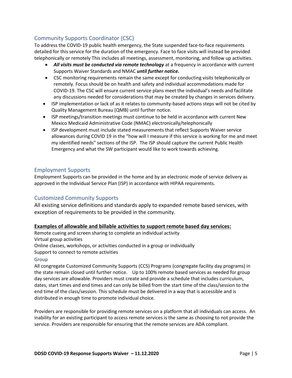### <span id="page-5-0"></span>Community Supports Coordinator (CSC)

To address the COVID-19 public health emergency, the State suspended face-to-face requirements detailed for this service for the duration of the emergency. Face to face visits will instead be provided telephonically or remotely This includes all meetings, assessment, monitoring, and follow up activities.

- All visits must be conducted via remote technology at a frequency in accordance with current Supports Waiver Standards and NMAC *until further notice.*
- CSC monitoring requirements remain the same except for conducting visits telephonically or remotely. Focus should be on health and safety and individual accommodations made for COVID-19. The CSC will ensure current service plans meet the individual's needs and facilitate any discussions needed for considerations that may be created by changes in services delivery.
- ISP implementation or lack of as it relates to community-based actions steps will not be cited by Quality Management Bureau (QMB) until further notice.
- ISP meetings/transition meetings must continue to be held in accordance with current New Mexico Medicaid Administrative Code (NMAC) electronically/telephonically
- ISP development must include stated measurements that reflect Supports Waiver service allowances during COVID 19 in the "how will I measure if this service is working for me and meet my identified needs" sections of the ISP. The ISP should capture the current Public Health Emergency and what the SW participant would like to work towards achieving.

### <span id="page-5-1"></span>Employment Supports

Employment Supports can be provided in the home and by an electronic mode of service delivery as approved in the Individual Service Plan (ISP) in accordance with HIPAA requirements.

### <span id="page-5-2"></span>Customized Community Supports

All existing service definitions and standards apply to expanded remote based services, with exception of requirements to be provided in the community.

#### **Examples of allowable and billable activities to support remote based day services:**

Remote cueing and screen sharing to complete an individual activity Virtual group activities Online classes, workshops, or activities conducted in a group or individually Support to connect to remote activities

#### <span id="page-5-3"></span>Group

All congregate Customized Community Supports (CCS) Programs (congregate facility day programs) in the state remain closed until further notice. Up to 100% remote based services as needed for group day services are allowable. Providers must create and provide a schedule that includes curriculum, dates, start times and end times and can only be billed from the start time of the class/session to the end time of the class/session. This schedule must be delivered in a way that is accessible and is distributed in enough time to promote individual choice.

Providers are responsible for providing remote services on a platform that all individuals can access. An inability for an existing participant to access remote services is the same as choosing to not provide the service. Providers are responsible for ensuring that the remote services are ADA compliant.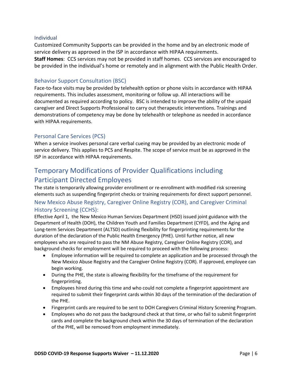#### <span id="page-6-0"></span>Individual

Customized Community Supports can be provided in the home and by an electronic mode of service delivery as approved in the ISP in accordance with HIPAA requirements.

**Staff Homes**: CCS services may not be provided in staff homes. CCS services are encouraged to be provided in the individual's home or remotely and in alignment with the Public Health Order.

### <span id="page-6-1"></span>Behavior Support Consultation (BSC)

Face-to-face visits may be provided by telehealth option or phone visits in accordance with HIPAA requirements. This includes assessment, monitoring or follow up. All interactions will be documented as required according to policy. BSC is intended to improve the ability of the unpaid caregiver and Direct Supports Professional to carry out therapeutic interventions. Trainings and demonstrations of competency may be done by telehealth or telephone as needed in accordance with HIPAA requirements.

### <span id="page-6-2"></span>Personal Care Services (PCS)

When a service involves personal care verbal cueing may be provided by an electronic mode of service delivery. This applies to PCS and Respite. The scope of service must be as approved in the ISP in accordance with HIPAA requirements.

## <span id="page-6-3"></span>Temporary Modifications of Provider Qualifications including Participant Directed Employees

The state is temporarily allowing provider enrollment or re-enrollment with modified risk screening elements such as suspending fingerprint checks or training requirements for direct support personnel.

### <span id="page-6-4"></span>New Mexico Abuse Registry, Caregiver Online Registry (COR), and Caregiver Criminal History Screening (CCHS):

Effective April 1, the New Mexico Human Services Department (HSD) issued joint guidance with the Department of Health (DOH), the Children Youth and Families Department (CYFD), and the Aging and Long-term Services Department (ALTSD) outlining flexibility for fingerprinting requirements for the duration of the declaration of the Public Health Emergency (PHE). Until further notice, all new employees who are required to pass the NM Abuse Registry, Caregiver Online Registry (COR), and background checks for employment will be required to proceed with the following process:

- Employee information will be required to complete an application and be processed through the New Mexico Abuse Registry and the Caregiver Online Registry (COR). If approved, employee can begin working.
- During the PHE, the state is allowing flexibility for the timeframe of the requirement for fingerprinting.
- Employees hired during this time and who could not complete a fingerprint appointment are required to submit their fingerprint cards within 30 days of the termination of the declaration of the PHE.
- Fingerprint cards are required to be sent to DOH Caregivers Criminal History Screening Program.
- Employees who do not pass the background check at that time, or who fail to submit fingerprint cards and complete the background check within the 30 days of termination of the declaration of the PHE, will be removed from employment immediately.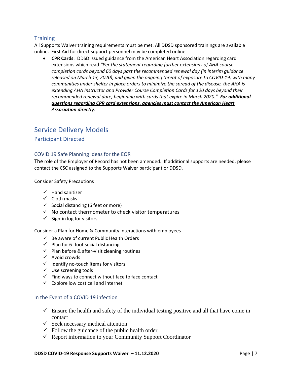### <span id="page-7-0"></span>**Training**

All Supports Waiver training requirements must be met. All DDSD sponsored trainings are available online. First Aid for direct support personnel may be completed online.

• **CPR Cards**: DDSD issued guidance from the American Heart Association regarding card extensions which read *"Per the statement regarding further extensions of AHA course completion cards beyond 60 days past the recommended renewal day (in interim guidance released on March 13, 2020), and given the ongoing threat of exposure to COVID-19, with many communities under shelter in place orders to minimize the spread of the disease, the AHA is extending AHA Instructor and Provider Course Completion Cards for 120 days beyond their recommended renewal date, beginning with cards that expire in March 2020." For additional questions regarding CPR card extensions, agencies must contact the American Heart Association directly*.

## <span id="page-7-1"></span>Service Delivery Models

### <span id="page-7-2"></span>Participant Directed

#### <span id="page-7-3"></span>COVID 19 Safe Planning Ideas for the EOR

The role of the Employer of Record has not been amended. If additional supports are needed, please contact the CSC assigned to the Supports Waiver participant or DDSD.

Consider Safety Precautions

- ✓ Hand sanitizer
- ✓ Cloth masks
- $\checkmark$  Social distancing (6 feet or more)
- $\checkmark$  No contact thermometer to check visitor temperatures
- $\checkmark$  Sign-in log for visitors

Consider a Plan for Home & Community interactions with employees

- $\checkmark$  Be aware of current Public Health Orders
- $\checkmark$  Plan for 6- foot social distancing
- $\checkmark$  Plan before & after-visit cleaning routines
- ✓ Avoid crowds
- $\checkmark$  Identify no-touch items for visitors
- ✓ Use screening tools
- $\checkmark$  Find ways to connect without face to face contact
- $\checkmark$  Explore low cost cell and internet

#### <span id="page-7-4"></span>In the Event of a COVID 19 infection

- $\checkmark$  Ensure the health and safety of the individual testing positive and all that have come in contact
- $\checkmark$  Seek necessary medical attention
- $\checkmark$  Follow the guidance of the public health order
- $\checkmark$  Report information to your Community Support Coordinator

#### **DDSD COVID-19 Response Supports Waiver – 11.12.2020** Page | 7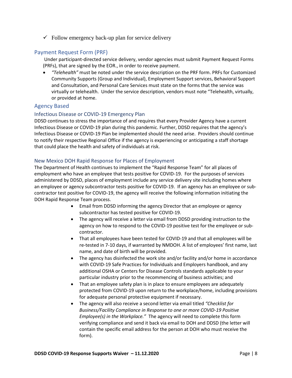$\checkmark$  Follow emergency back-up plan for service delivery

### <span id="page-8-0"></span>Payment Request Form (PRF)

Under participant-directed service delivery, vendor agencies must submit Payment Request Forms (PRFs), that are signed by the EOR., in order to receive payment.

• *"Telehealth"* must be noted under the service description on the PRF form. PRFs for Customized Community Supports (Group and Individual), Employment Support services, Behavioral Support and Consultation, and Personal Care Services must state on the forms that the service was virtually or telehealth. Under the service description, vendors must note "Telehealth, virtually, or provided at home.

### <span id="page-8-1"></span>Agency Based

#### <span id="page-8-2"></span>Infectious Disease or COVID-19 Emergency Plan

DDSD continues to stress the importance of and requires that every Provider Agency have a current Infectious Disease or COVID-19 plan during this pandemic. Further, DDSD requires that the agency's Infectious Disease or COVID-19 Plan be implemented should the need arise. Providers should continue to notify their respective Regional Office if the agency is experiencing or anticipating a staff shortage that could place the health and safety of individuals at risk.

#### <span id="page-8-3"></span>New Mexico DOH Rapid Response for Places of Employment

The Department of Health continues to implement the "Rapid Response Team" for all places of employment who have an employee that tests positive for COVID-19. For the purposes of services administered by DDSD, places of employment include any service delivery site including homes where an employee or agency subcontractor tests positive for COVID-19. If an agency has an employee or subcontractor test positive for COVID-19, the agency will receive the following information initiating the DOH Rapid Response Team process.

- Email from DDSD informing the agency Director that an employee or agency subcontractor has tested positive for COVID-19.
- The agency will receive a letter via email from DDSD providing instruction to the agency on how to respond to the COVID-19 positive test for the employee or subcontractor.
- That all employees have been tested for COVID-19 and that all employees will be re-tested in 7-10 days, if warranted by NMDOH. A list of employees' first name, last name, and date of birth will be provided.
- The agency has disinfected the work site and/or facility and/or home in accordance with COVID-19 Safe Practices for Individuals and Employers handbook, and any additional OSHA or Centers for Disease Controls standards applicable to your particular industry prior to the recommencing of business activities; and
- That an employee safety plan is in place to ensure employees are adequately protected from COVID-19 upon return to the workplace/home, including provisions for adequate personal protective equipment if necessary.
- The agency will also receive a second letter via email titled *"Checklist for Business/Facility Compliance in Response to one or more COVID-19 Positive Employee(s) in the Workplace."* The agency will need to complete this form verifying compliance and send it back via email to DOH and DDSD (the letter will contain the specific email address for the person at DOH who must receive the form).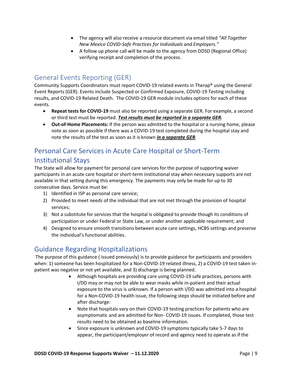- The agency will also receive a resource document via email titled *"All Together New Mexico COVID-Safe Practices for Individuals and Employers."*
- A follow up phone call will be made to the agency from DDSD (Regional Office) verifying receipt and completion of the process.

## <span id="page-9-0"></span>General Events Reporting (GER)

Community Supports Coordinators must report COVID-19 related events in Therap® using the General Event Reports (GER). Events include Suspected or Confirmed Exposure, COVID-19 Testing including results, and COVID-19 Related Death. The COVID-19 GER module includes options for each of these events.

- **Repeat tests for COVID-19** must also be reported using a separate GER. For example, a second or third test must be reported. *Test results must be reported in a separate GER.*
- **Out-of-Home Placements:** If the person was admitted to the hospital or a nursing home, please note as soon as possible if there was a COVID-19 test completed during the hospital stay and note the results of the test as soon as it is known *in a separate GER*.

# <span id="page-9-1"></span>Personal Care Services in Acute Care Hospital or Short-Term Institutional Stays

The State will allow for payment for personal care services for the purpose of supporting waiver participants in an acute care hospital or short-term institutional stay when necessary supports are not available in that setting during this emergency. The payments may only be made for up to 30 consecutive days. Service must be:

- 1) Identified in ISP as personal care service;
- 2) Provided to meet needs of the individual that are not met through the provision of hospital services;
- 3) Not a substitute for services that the hospital is obligated to provide though its conditions of participation or under Federal or State Law, or under another applicable requirement; and
- 4) Designed to ensure smooth transitions between acute care settings, HCBS settings and preserve the individual's functional abilities.

## <span id="page-9-2"></span>Guidance Regarding Hospitalizations

The purpose of this guidance ( issued previously) is to provide guidance for participants and providers when: 1) someone has been hospitalized for a Non-COVID-19 related illness, 2) a COVID-19 test taken inpatient was negative or not yet available, and 3) discharge is being planned.

- Although hospitals are providing care using COVID-19 safe practices, persons with I/DD may or may not be able to wear masks while in-patient and their actual exposure to the virus is unknown. If a person with I/DD was admitted into a hospital for a Non-COVID-19 health issue, the following steps should be initiated before and after discharge:
- Note that hospitals vary on their COVID-19 testing practices for patients who are asymptomatic and are admitted for Non- COVID-19 issues. If completed, those test results need to be obtained as baseline information.
- Since exposure is unknown and COVID-19 symptoms typically take 5-7 days to appear, the participant/employer of record and agency need to operate as if the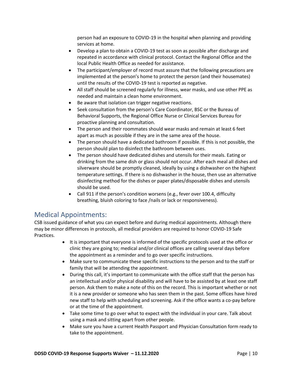person had an exposure to COVID-19 in the hospital when planning and providing services at home.

- Develop a plan to obtain a COVID-19 test as soon as possible after discharge and repeated in accordance with clinical protocol. Contact the Regional Office and the local Public Health Office as needed for assistance.
- The participant/employer of record must assure that the following precautions are implemented at the person's home to protect the person (and their housemates) until the results of the COVID-19 test is reported as negative.
- All staff should be screened regularly for illness, wear masks, and use other PPE as needed and maintain a clean home environment.
- Be aware that isolation can trigger negative reactions.
- Seek consultation from the person's Care Coordinator, BSC or the Bureau of Behavioral Supports, the Regional Office Nurse or Clinical Services Bureau for proactive planning and consultation.
- The person and their roommates should wear masks and remain at least 6 feet apart as much as possible if they are in the same area of the house.
- The person should have a dedicated bathroom if possible. If this is not possible, the person should plan to disinfect the bathroom between uses.
- The person should have dedicated dishes and utensils for their meals. Eating or drinking from the same dish or glass should not occur. After each meal all dishes and silverware should be promptly cleaned, ideally by using a dishwasher on the highest temperature settings. If there is no dishwasher in the house, then use an alternative disinfecting method for the dishes or paper plates/disposable dishes and utensils should be used.
- Call 911 if the person's condition worsens (e.g., fever over 100.4, difficulty breathing, bluish coloring to face /nails or lack or responsiveness).

## <span id="page-10-0"></span>Medical Appointments:

CSB issued guidance of what you can expect before and during medical appointments. Although there may be minor differences in protocols, all medical providers are required to honor COVID-19 Safe Practices.

- It is important that everyone is informed of the specific protocols used at the office or clinic they are going to; medical and/or clinical offices are calling several days before the appointment as a reminder and to go over specific instructions.
- Make sure to communicate these specific instructions to the person and to the staff or family that will be attending the appointment.
- During this call, it's important to communicate with the office staff that the person has an intellectual and/or physical disability and will have to be assisted by at least one staff person. Ask them to make a note of this on the record. This is important whether or not it is a new provider or someone who has seen them in the past. Some offices have hired new staff to help with scheduling and screening. Ask if the office wants a co-pay before or at the time of the appointment.
- Take some time to go over what to expect with the individual in your care. Talk about using a mask and sitting apart from other people.
- Make sure you have a current Health Passport and Physician Consultation form ready to take to the appointment.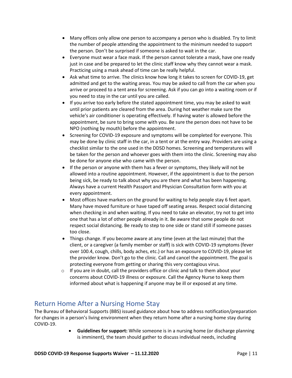- Many offices only allow one person to accompany a person who is disabled. Try to limit the number of people attending the appointment to the minimum needed to support the person. Don't be surprised if someone is asked to wait in the car.
- Everyone must wear a face mask. If the person cannot tolerate a mask, have one ready just in case and be prepared to let the clinic staff know why they cannot wear a mask. Practicing using a mask ahead of time can be really helpful.
- Ask what time to arrive. The clinics know how long it takes to screen for COVID-19, get admitted and get to the waiting areas. You may be asked to call from the car when you arrive or proceed to a tent area for screening. Ask if you can go into a waiting room or if you need to stay in the car until you are called.
- If you arrive too early before the stated appointment time, you may be asked to wait until prior patients are cleared from the area. During hot weather make sure the vehicle's air conditioner is operating effectively. If having water is allowed before the appointment, be sure to bring some with you. Be sure the person does not have to be NPO (nothing by mouth) before the appointment.
- Screening for COVID-19 exposure and symptoms will be completed for everyone. This may be done by clinic staff in the car, in a tent or at the entry way. Providers are using a checklist similar to the one used in the DDSD homes. Screening and temperatures will be taken for the person and whoever goes with them into the clinic. Screening may also be done for anyone else who came with the person.
- If the person or anyone with them has a fever or symptoms, they likely will not be allowed into a routine appointment. However, if the appointment is due to the person being sick, be ready to talk about why you are there and what has been happening. Always have a current Health Passport and Physician Consultation form with you at every appointment.
- Most offices have markers on the ground for waiting to help people stay 6 feet apart. Many have moved furniture or have taped off seating areas. Respect social distancing when checking in and when waiting. If you need to take an elevator, try not to get into one that has a lot of other people already in it. Be aware that some people do not respect social distancing. Be ready to step to one side or stand still if someone passes too close.
- Things change. If you become aware at any time (even at the last minute) that the client, or a caregiver (a family member or staff) is sick with COVID-19 symptoms (fever over 100.4, cough, chills, body aches, etc.) or has an exposure to COVID-19, please let the provider know. Don't go to the clinic. Call and cancel the appointment. The goal is protecting everyone from getting or sharing this very contagious virus.
- $\circ$  If you are in doubt, call the providers office or clinic and talk to them about your concerns about COVID-19 illness or exposure. Call the Agency Nurse to keep them informed about what is happening if anyone may be ill or exposed at any time.

## <span id="page-11-0"></span>Return Home After a Nursing Home Stay

The Bureau of Behavioral Supports (BBS) issued guidance about how to address notification/preparation for changes in a person's living environment when they return home after a nursing home stay during COVID-19.

> • **Guidelines for support:** While someone is in a nursing home (or discharge planning is imminent), the team should gather to discuss individual needs, including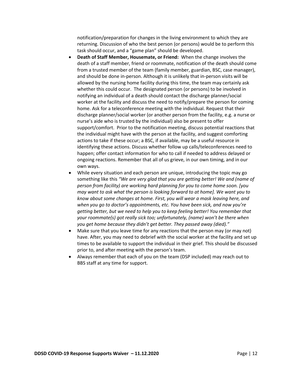notification/preparation for changes in the living environment to which they are returning. Discussion of who the best person (or persons) would be to perform this task should occur, and a "game plan" should be developed.

- **Death of Staff Member, Housemate, or Friend:** When the change involves the death of a staff member, friend or roommate, notification of the death should come from a trusted member of the team (family member, guardian, BSC, case manager), and should be done in-person. Although it is unlikely that in-person visits will be allowed by the nursing home facility during this time, the team may certainly ask whether this could occur. The designated person (or persons) to be involved in notifying an individual of a death should contact the discharge planner/social worker at the facility and discuss the need to notify/prepare the person for coming home. Ask for a teleconference meeting with the individual. Request that their discharge planner/social worker (or another person from the facility, e.g. a nurse or nurse's aide who is trusted by the individual) also be present to offer support/comfort. Prior to the notification meeting, discuss potential reactions that the individual might have with the person at the facility, and suggest comforting actions to take if these occur; a BSC, if available, may be a useful resource in identifying these actions. Discuss whether follow up calls/teleconferences need to happen; offer contact information for who to call if needed to address delayed or ongoing reactions. Remember that all of us grieve, in our own timing, and in our own ways.
- While every situation and each person are unique, introducing the topic may go something like this *"We are very glad that you are getting better! We and (name of person from facility) are working hard planning for you to come home soon. [you may want to ask what the person is looking forward to at home]. We want you to know about some changes at home. First, you will wear a mask leaving here, and when you go to doctor's appointments, etc. You have been sick, and now you're getting better, but we need to help you to keep feeling better! You remember that your roommate(s) got really sick too; unfortunately, (name) won't be there when you get home because they didn't get better. They passed away (died)."*
- Make sure that you leave time for any reactions that the person may (or may not) have. After, you may need to debrief with the social worker at the facility and set up times to be available to support the individual in their grief. This should be discussed prior to, and after meeting with the person's team.
- Always remember that each of you on the team (DSP included) may reach out to BBS staff at any time for support.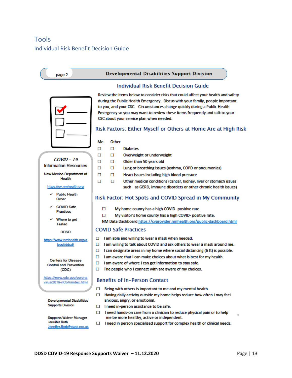# <span id="page-13-1"></span><span id="page-13-0"></span>Tools Individual Risk Benefit Decision Guide

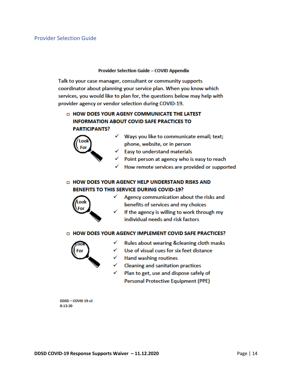#### **Provider Selection Guide - COVID Appendix**

<span id="page-14-0"></span>Talk to your case manager, consultant or community supports coordinator about planning your service plan. When you know which services, you would like to plan for, the questions below may help with provider agency or vendor selection during COVID-19.

### **DI HOW DOES YOUR AGENY COMMUNICATE THE LATEST INFORMATION ABOUT COVID SAFE PRACTICES TO PARTICIPANTS?**



- $\checkmark$  Ways you like to communicate email; text; phone, website, or in person
- $\checkmark$  Easy to understand materials
- Point person at agency who is easy to reach
- How remote services are provided or supported

### □ HOW DOES YOUR AGENCY HELP UNDERSTAND RISKS AND BENEFITS TO THIS SERVICE DURING COVID-19?



- Agency communication about the risks and ✓ benefits of services and my choices
- If the agency is willing to work through my individual needs and risk factors

#### D HOW DOES YOUR AGENCY IMPLEMENT COVID SAFE PRACTICES?



- ✓ Rules about wearing & cleaning cloth masks
- Use of visual cues for six feet distance ✓
- Hand washing routines
- Cleaning and sanitation practices
- Plan to get, use and dispose safely of Personal Protective Equipment (PPE)

DDSD-COVID 19 v2 8-13-20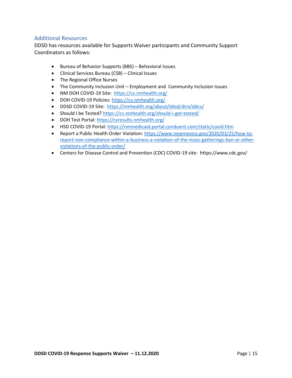### <span id="page-15-0"></span>Additional Resources

DDSD has resources available for Supports Waiver participants and Community Support Coordinators as follows:

- Bureau of Behavior Supports (BBS) Behavioral Issues
- Clinical Services Bureau (CSB) Clinical Issues
- The Regional Office Nurses
- The Community Inclusion Unit Employment and Community Inclusion Issues
- NM DOH COVID-19 Site: <https://cv.nmhealth.org/>
- DOH COVID-19 Policies:<https://cv.nmhealth.org/>
- DDSD COVID-19 Site:<https://nmhealth.org/about/ddsd/diro/ddcv/>
- Should I be Tested?<https://cv.nmhealth.org/should-i-get-tested/>
- DOH Test Portal:<https://cvresults.nmhealth.org/>
- HSD COVID-19 Portal:<https://nmmedicaid.portal.conduent.com/static/covid.htm>
- Report a Public Health Order Violation[: https://www.newmexico.gov/2020/03/25/how-to](https://www.newmexico.gov/2020/03/25/how-to-report-non-compliance-within-a-business-a-violation-of-the-mass-gatherings-ban-or-other-violations-of-the-public-order/)[report-non-compliance-within-a-business-a-violation-of-the-mass-gatherings-ban-or-other](https://www.newmexico.gov/2020/03/25/how-to-report-non-compliance-within-a-business-a-violation-of-the-mass-gatherings-ban-or-other-violations-of-the-public-order/)[violations-of-the-public-order/](https://www.newmexico.gov/2020/03/25/how-to-report-non-compliance-within-a-business-a-violation-of-the-mass-gatherings-ban-or-other-violations-of-the-public-order/)
- Centers for Disease Control and Prevention (CDC) COVID-19 site: https://www.cdc.gov/